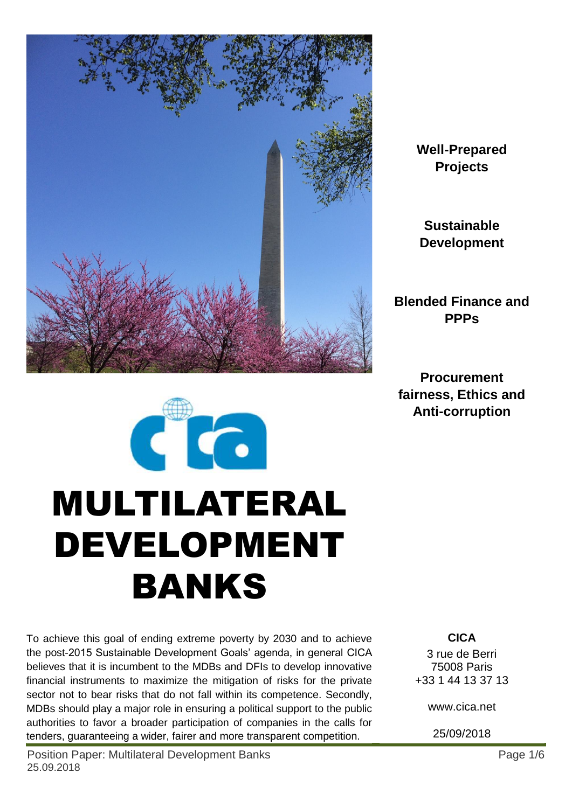

**Well-Prepared Projects**

**Sustainable Development**

**Blended Finance and PPPs**

**Procurement fairness, Ethics and Anti-corruption**



To achieve this goal of ending extreme poverty by 2030 and to achieve the post-2015 Sustainable Development Goals' agenda, in general CICA believes that it is incumbent to the MDBs and DFIs to develop innovative financial instruments to maximize the mitigation of risks for the private sector not to bear risks that do not fall within its competence. Secondly, MDBs should play a major role in ensuring a political support to the public authorities to favor a broader participation of companies in the calls for tenders, guaranteeing a wider, fairer and more transparent competition.

Position Paper: Multilateral Development Banks **Page 1/6** Page 1/6 25.09.2018

**CICA** 3 rue de Berri 75008 Paris +33 1 44 13 37 13

www.cica.net

25/09/2018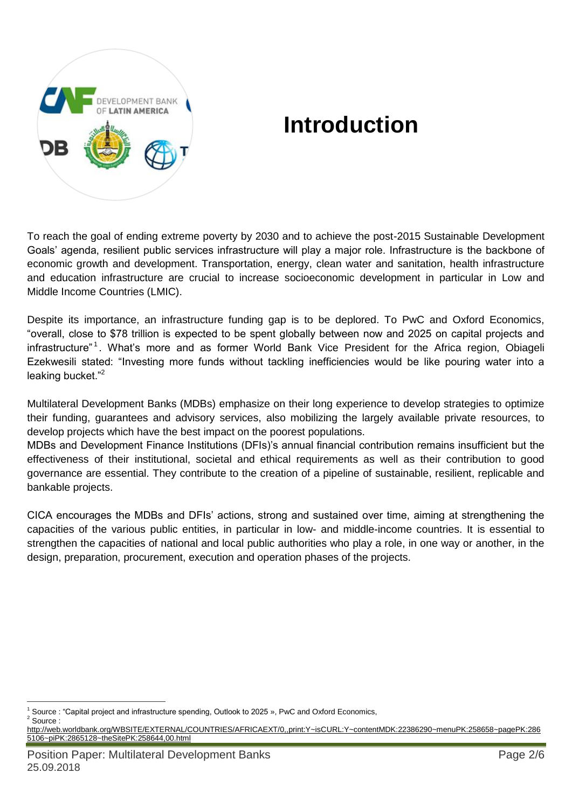

# **Introduction**

To reach the goal of ending extreme poverty by 2030 and to achieve the post-2015 Sustainable Development Goals' agenda, resilient public services infrastructure will play a major role. Infrastructure is the backbone of economic growth and development. Transportation, energy, clean water and sanitation, health infrastructure and education infrastructure are crucial to increase socioeconomic development in particular in Low and Middle Income Countries (LMIC).

Despite its importance, an infrastructure funding gap is to be deplored. To PwC and Oxford Economics, "overall, close to \$78 trillion is expected to be spent globally between now and 2025 on capital projects and infrastructure"<sup>1</sup>. What's more and as former World Bank Vice President for the Africa region, Obiageli Ezekwesili stated: "Investing more funds without tackling inefficiencies would be like pouring water into a leaking bucket."<sup>2</sup>

Multilateral Development Banks (MDBs) emphasize on their long experience to develop strategies to optimize their funding, guarantees and advisory services, also mobilizing the largely available private resources, to develop projects which have the best impact on the poorest populations.

MDBs and Development Finance Institutions (DFIs)'s annual financial contribution remains insufficient but the effectiveness of their institutional, societal and ethical requirements as well as their contribution to good governance are essential. They contribute to the creation of a pipeline of sustainable, resilient, replicable and bankable projects.

CICA encourages the MDBs and DFIs' actions, strong and sustained over time, aiming at strengthening the capacities of the various public entities, in particular in low- and middle-income countries. It is essential to strengthen the capacities of national and local public authorities who play a role, in one way or another, in the design, preparation, procurement, execution and operation phases of the projects.

 $\overline{a}$ <sup>1</sup> Source : "Capital project and infrastructure spending, Outlook to 2025 », PwC and Oxford Economics, <sup>2</sup> Source :

[http://web.worldbank.org/WBSITE/EXTERNAL/COUNTRIES/AFRICAEXT/0,,print:Y~isCURL:Y~contentMDK:22386290~menuPK:258658~pagePK:286](http://web.worldbank.org/WBSITE/EXTERNAL/COUNTRIES/AFRICAEXT/0,,print:Y~isCURL:Y~contentMDK:22386290~menuPK:258658~pagePK:2865106~piPK:2865128~theSitePK:258644,00.html) [5106~piPK:2865128~theSitePK:258644,00.html](http://web.worldbank.org/WBSITE/EXTERNAL/COUNTRIES/AFRICAEXT/0,,print:Y~isCURL:Y~contentMDK:22386290~menuPK:258658~pagePK:2865106~piPK:2865128~theSitePK:258644,00.html)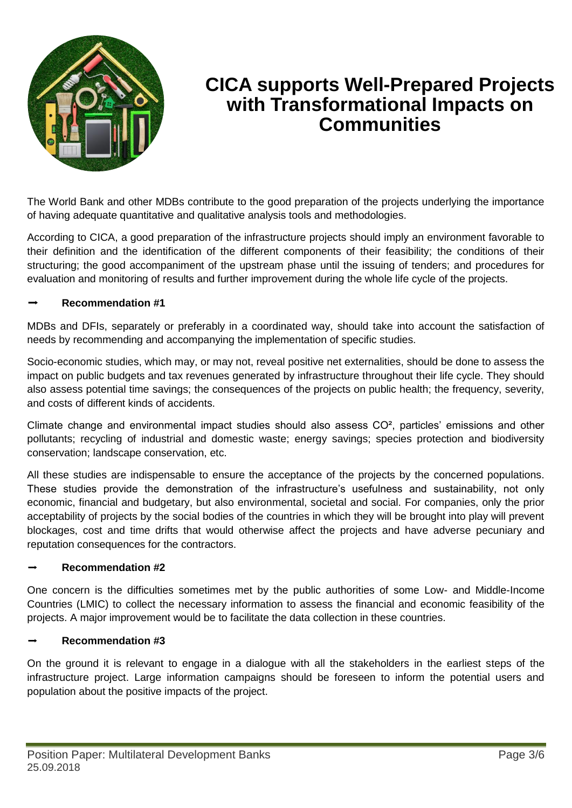

### **CICA supports Well-Prepared Projects with Transformational Impacts on Communities**

The World Bank and other MDBs contribute to the good preparation of the projects underlying the importance of having adequate quantitative and qualitative analysis tools and methodologies.

According to CICA, a good preparation of the infrastructure projects should imply an environment favorable to their definition and the identification of the different components of their feasibility; the conditions of their structuring; the good accompaniment of the upstream phase until the issuing of tenders; and procedures for evaluation and monitoring of results and further improvement during the whole life cycle of the projects.

#### ➡ **Recommendation #1**

MDBs and DFIs, separately or preferably in a coordinated way, should take into account the satisfaction of needs by recommending and accompanying the implementation of specific studies.

Socio-economic studies, which may, or may not, reveal positive net externalities, should be done to assess the impact on public budgets and tax revenues generated by infrastructure throughout their life cycle. They should also assess potential time savings; the consequences of the projects on public health; the frequency, severity, and costs of different kinds of accidents.

Climate change and environmental impact studies should also assess CO², particles' emissions and other pollutants; recycling of industrial and domestic waste; energy savings; species protection and biodiversity conservation; landscape conservation, etc.

All these studies are indispensable to ensure the acceptance of the projects by the concerned populations. These studies provide the demonstration of the infrastructure's usefulness and sustainability, not only economic, financial and budgetary, but also environmental, societal and social. For companies, only the prior acceptability of projects by the social bodies of the countries in which they will be brought into play will prevent blockages, cost and time drifts that would otherwise affect the projects and have adverse pecuniary and reputation consequences for the contractors.

#### ➡ **Recommendation #2**

One concern is the difficulties sometimes met by the public authorities of some Low- and Middle-Income Countries (LMIC) to collect the necessary information to assess the financial and economic feasibility of the projects. A major improvement would be to facilitate the data collection in these countries.

#### ➡ **Recommendation #3**

On the ground it is relevant to engage in a dialogue with all the stakeholders in the earliest steps of the infrastructure project. Large information campaigns should be foreseen to inform the potential users and population about the positive impacts of the project.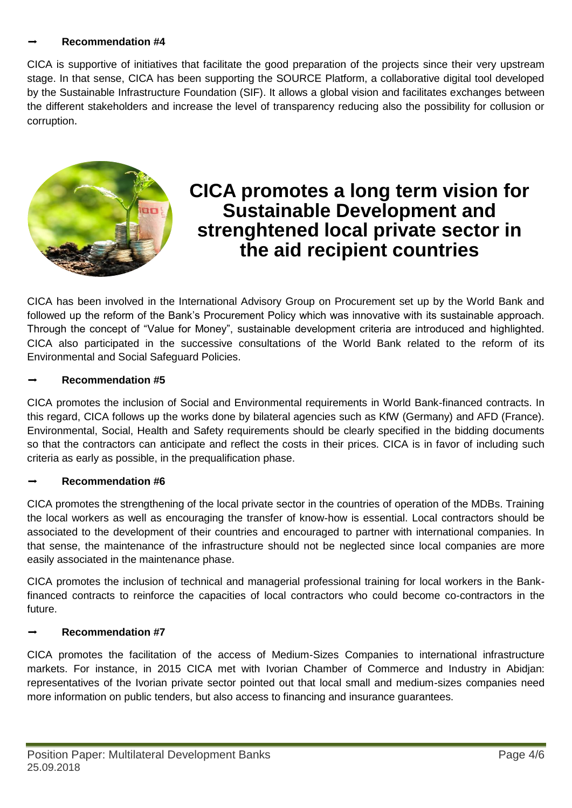#### ➡ **Recommendation #4**

CICA is supportive of initiatives that facilitate the good preparation of the projects since their very upstream stage. In that sense, CICA has been supporting the SOURCE Platform, a collaborative digital tool developed by the Sustainable Infrastructure Foundation (SIF). It allows a global vision and facilitates exchanges between the different stakeholders and increase the level of transparency reducing also the possibility for collusion or corruption.



### **CICA promotes a long term vision for Sustainable Development and strenghtened local private sector in the aid recipient countries**

CICA has been involved in the International Advisory Group on Procurement set up by the World Bank and followed up the reform of the Bank's Procurement Policy which was innovative with its sustainable approach. Through the concept of "Value for Money", sustainable development criteria are introduced and highlighted. CICA also participated in the successive consultations of the World Bank related to the reform of its Environmental and Social Safeguard Policies.

#### ➡ **Recommendation #5**

CICA promotes the inclusion of Social and Environmental requirements in World Bank-financed contracts. In this regard, CICA follows up the works done by bilateral agencies such as KfW (Germany) and AFD (France). Environmental, Social, Health and Safety requirements should be clearly specified in the bidding documents so that the contractors can anticipate and reflect the costs in their prices. CICA is in favor of including such criteria as early as possible, in the prequalification phase.

#### ➡ **Recommendation #6**

CICA promotes the strengthening of the local private sector in the countries of operation of the MDBs. Training the local workers as well as encouraging the transfer of know-how is essential. Local contractors should be associated to the development of their countries and encouraged to partner with international companies. In that sense, the maintenance of the infrastructure should not be neglected since local companies are more easily associated in the maintenance phase.

CICA promotes the inclusion of technical and managerial professional training for local workers in the Bankfinanced contracts to reinforce the capacities of local contractors who could become co-contractors in the future.

#### ➡ **Recommendation #7**

CICA promotes the facilitation of the access of Medium-Sizes Companies to international infrastructure markets. For instance, in 2015 CICA met with Ivorian Chamber of Commerce and Industry in Abidjan: representatives of the Ivorian private sector pointed out that local small and medium-sizes companies need more information on public tenders, but also access to financing and insurance guarantees.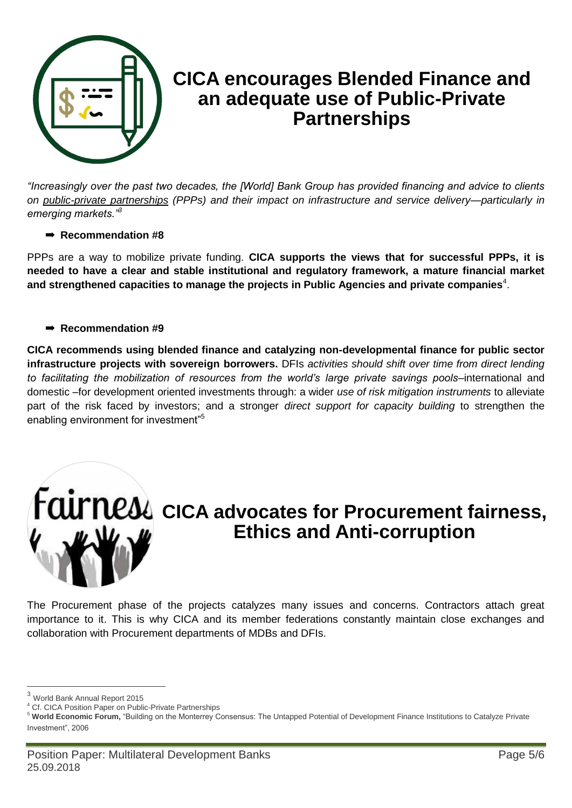

### **CICA encourages Blended Finance and an adequate use of Public-Private Partnerships**

*"Increasingly over the past two decades, the [World] Bank Group has provided financing and advice to clients on [public-private partnerships](http://www.worldbank.org/en/topic/publicprivatepartnerships) (PPPs) and their impact on infrastructure and service delivery—particularly in emerging markets."<sup>3</sup>*

#### ➡ **Recommendation #8**

PPPs are a way to mobilize private funding. **CICA supports the views that for successful PPPs, it is needed to have a clear and stable institutional and regulatory framework, a mature financial market**  and strengthened capacities to manage the projects in Public Agencies and private companies<sup>4</sup>.

#### ➡ **Recommendation #9**

**CICA recommends using blended finance and catalyzing non-developmental finance for public sector infrastructure projects with sovereign borrowers.** DFIs *activities should shift over time from direct lending to facilitating the mobilization of resources from the world's large private savings pools*–international and domestic –for development oriented investments through: a wider *use of risk mitigation instruments* to alleviate part of the risk faced by investors; and a stronger *direct support for capacity building* to strengthen the enabling environment for investment<sup>"5</sup>



## **Faurness** cica advocates for Procurement fairness, **Ethics and Anti-corruption**

The Procurement phase of the projects catalyzes many issues and concerns. Contractors attach great importance to it. This is why CICA and its member federations constantly maintain close exchanges and collaboration with Procurement departments of MDBs and DFIs.

 $\overline{a}$ 

<sup>3</sup> World Bank Annual Report 2015

<sup>4</sup> Cf. CICA Position Paper on Public-Private Partnerships

<sup>5</sup> **World Economic Forum,** "Building on the Monterrey Consensus: The Untapped Potential of Development Finance Institutions to Catalyze Private Investment", 2006